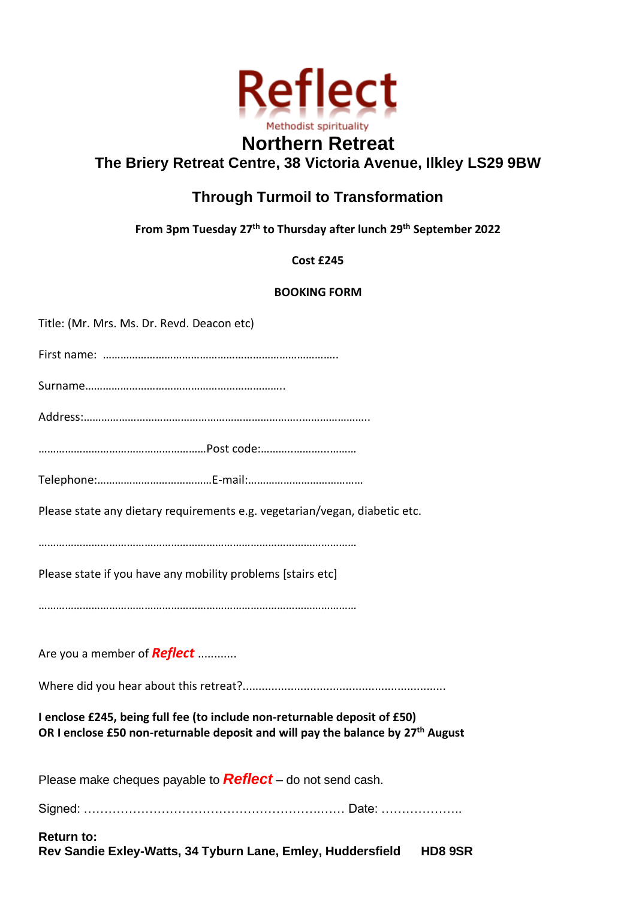

## **Northern Retreat The Briery Retreat Centre, 38 Victoria Avenue, Ilkley LS29 9BW**

# **Through Turmoil to Transformation**

**From 3pm Tuesday 27th to Thursday after lunch 29th September 2022**

**Cost £245**

### **BOOKING FORM**

| <b>Return to:</b><br>Rev Sandie Exley-Watts, 34 Tyburn Lane, Emley, Huddersfield<br><b>HD8 9SR</b>                                                                       |
|--------------------------------------------------------------------------------------------------------------------------------------------------------------------------|
|                                                                                                                                                                          |
| Please make cheques payable to <b>Reflect</b> – do not send cash.                                                                                                        |
| I enclose £245, being full fee (to include non-returnable deposit of £50)<br>OR I enclose £50 non-returnable deposit and will pay the balance by 27 <sup>th</sup> August |
|                                                                                                                                                                          |
| Are you a member of <b>Reflect</b>                                                                                                                                       |
|                                                                                                                                                                          |
| Please state if you have any mobility problems [stairs etc]                                                                                                              |
| Please state any dietary requirements e.g. vegetarian/vegan, diabetic etc.                                                                                               |
|                                                                                                                                                                          |
|                                                                                                                                                                          |
|                                                                                                                                                                          |
|                                                                                                                                                                          |
|                                                                                                                                                                          |
| Title: (Mr. Mrs. Ms. Dr. Revd. Deacon etc)                                                                                                                               |